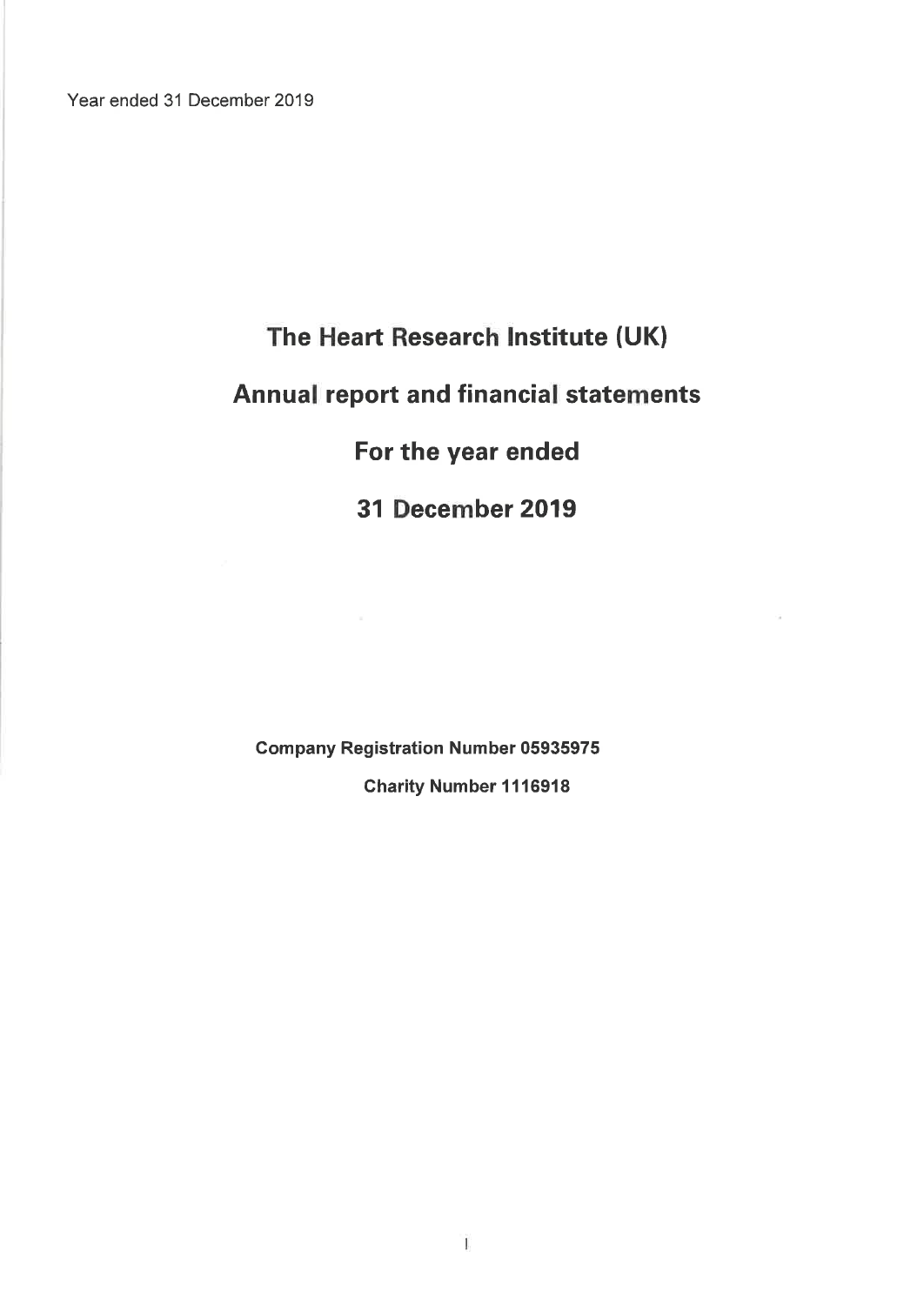Year ended 31 December 2019

# The Heart Research Institute (UK) **Annual report and financial statements** For the year ended

31 December 2019

**Company Registration Number 05935975** 

**Charity Number 1116918**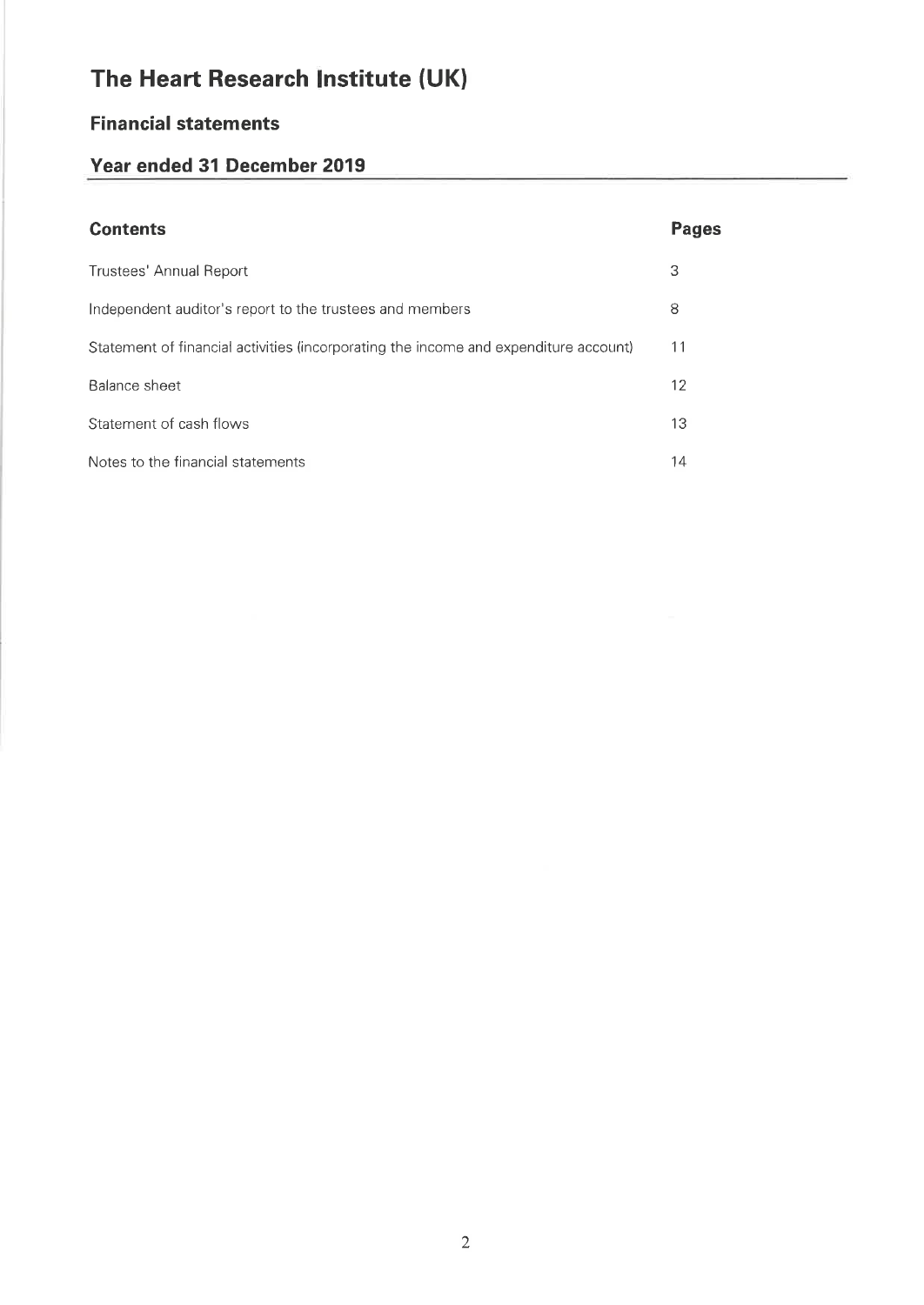# **Financial statements**

# Year ended 31 December 2019

| <b>Contents</b>                                                                      | <b>Pages</b> |
|--------------------------------------------------------------------------------------|--------------|
| Trustees' Annual Report                                                              | З            |
| Independent auditor's report to the trustees and members                             | 8            |
| Statement of financial activities (incorporating the income and expenditure account) | 11           |
| Balance sheet                                                                        | 12           |
| Statement of cash flows                                                              | 13           |
| Notes to the financial statements                                                    | 14           |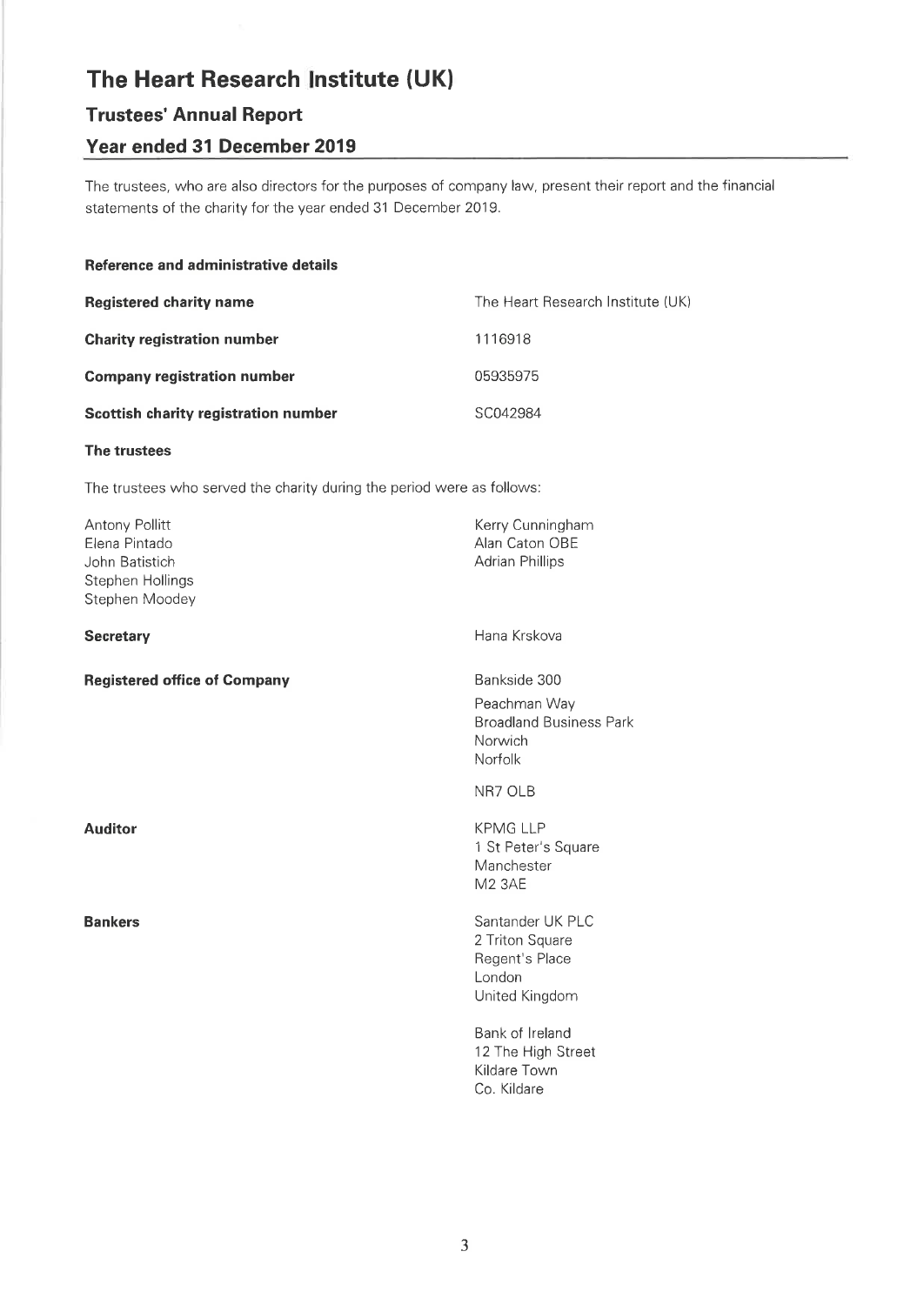# **Trustees' Annual Report**

# Year ended 31 December 2019

The trustees, who are also directors for the purposes of company law, present their report and the financial statements of the charity for the year ended 31 December 2019.

### Reference and administrative details

| <b>Registered charity name</b>       | The Heart Research Institute (UK) |
|--------------------------------------|-----------------------------------|
| <b>Charity registration number</b>   | 1116918                           |
| <b>Company registration number</b>   | 05935975                          |
| Scottish charity registration number | SC042984                          |

### The trustees

The trustees who served the charity during the period were as follows:

| Antony Pollitt<br>Elena Pintado<br>John Batistich<br>Stephen Hollings<br>Stephen Moodey | Kerry Cunningham<br>Alan Caton OBE<br><b>Adrian Phillips</b>                         |
|-----------------------------------------------------------------------------------------|--------------------------------------------------------------------------------------|
| <b>Secretary</b>                                                                        | Hana Krskova                                                                         |
| <b>Registered office of Company</b>                                                     | Bankside 300<br>Peachman Way<br><b>Broadland Business Park</b><br>Norwich<br>Norfolk |
|                                                                                         | NR7 OLB                                                                              |
| <b>Auditor</b>                                                                          | <b>KPMG LLP</b><br>1 St Peter's Square<br>Manchester<br><b>M2 3AE</b>                |
| <b>Bankers</b>                                                                          | Santander UK PLC<br>2 Triton Square<br>Regent's Place<br>London<br>United Kingdom    |
|                                                                                         | Bank of Ireland<br>12 The High Street<br>Kildare Town<br>Co. Kildare                 |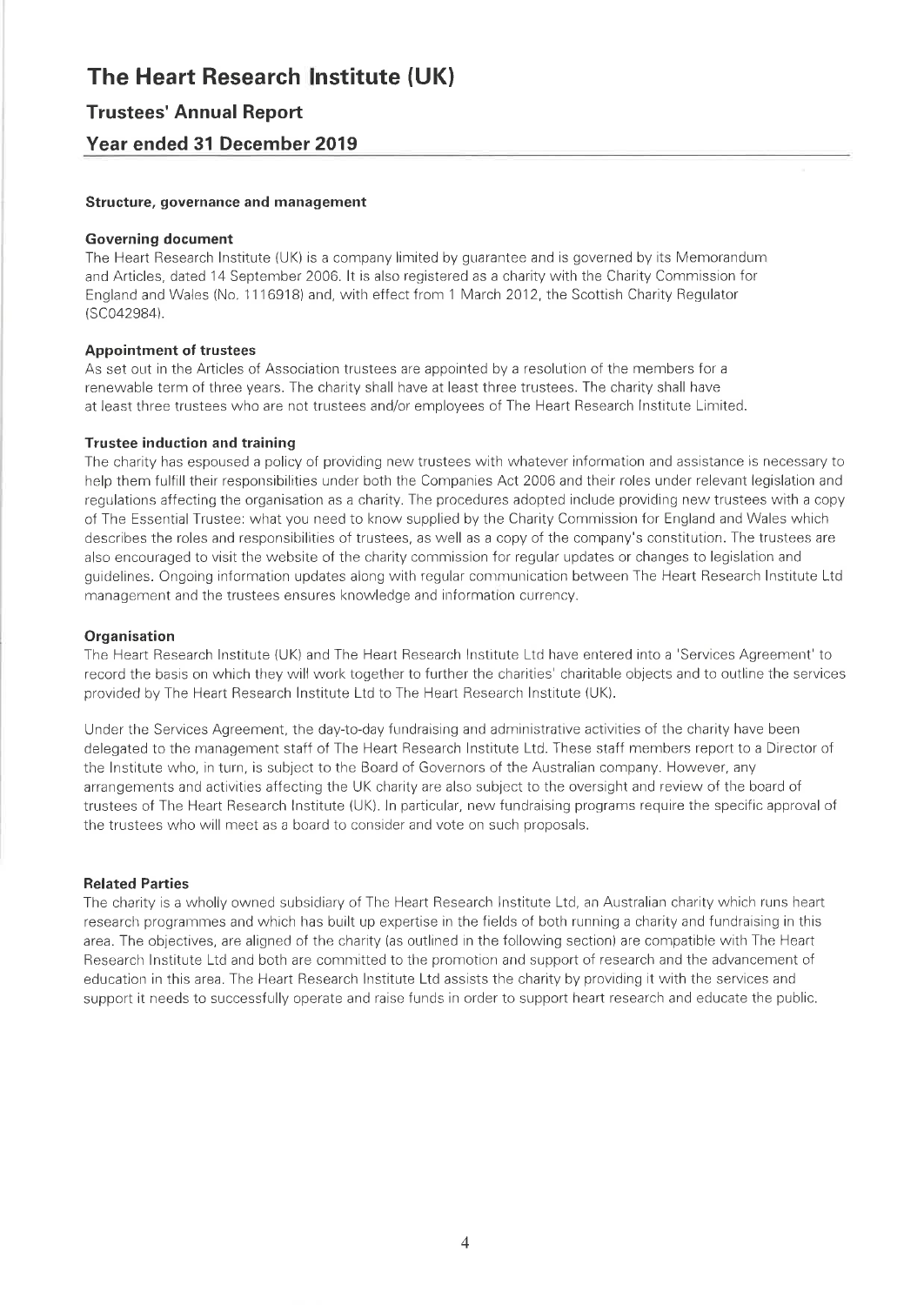### **Trustees' Annual Report**

### Year ended 31 December 2019

### Structure, governance and management

### **Governing document**

The Heart Research Institute (UK) is a company limited by guarantee and is governed by its Memorandum and Articles, dated 14 September 2006. It is also registered as a charity with the Charity Commission for England and Wales (No. 1116918) and, with effect from 1 March 2012, the Scottish Charity Regulator (SC042984).

### **Appointment of trustees**

As set out in the Articles of Association trustees are appointed by a resolution of the members for a renewable term of three years. The charity shall have at least three trustees. The charity shall have at least three trustees who are not trustees and/or employees of The Heart Research Institute Limited.

### **Trustee induction and training**

The charity has espoused a policy of providing new trustees with whatever information and assistance is necessary to help them fulfill their responsibilities under both the Companies Act 2006 and their roles under relevant legislation and regulations affecting the organisation as a charity. The procedures adopted include providing new trustees with a copy of The Essential Trustee: what you need to know supplied by the Charity Commission for England and Wales which describes the roles and responsibilities of trustees, as well as a copy of the company's constitution. The trustees are also encouraged to visit the website of the charity commission for regular updates or changes to legislation and guidelines. Ongoing information updates along with regular communication between The Heart Research Institute Ltd management and the trustees ensures knowledge and information currency.

### Organisation

The Heart Research Institute (UK) and The Heart Research Institute Ltd have entered into a 'Services Agreement' to record the basis on which they will work together to further the charities' charitable objects and to outline the services provided by The Heart Research Institute Ltd to The Heart Research Institute (UK).

Under the Services Agreement, the day-to-day fundraising and administrative activities of the charity have been delegated to the management staff of The Heart Research Institute Ltd. These staff members report to a Director of the Institute who, in turn, is subject to the Board of Governors of the Australian company. However, any arrangements and activities affecting the UK charity are also subject to the oversight and review of the board of trustees of The Heart Research Institute (UK). In particular, new fundraising programs require the specific approval of the trustees who will meet as a board to consider and vote on such proposals.

### **Related Parties**

The charity is a wholly owned subsidiary of The Heart Research Institute Ltd, an Australian charity which runs heart research programmes and which has built up expertise in the fields of both running a charity and fundraising in this area. The objectives, are aligned of the charity (as outlined in the following section) are compatible with The Heart Research Institute Ltd and both are committed to the promotion and support of research and the advancement of education in this area. The Heart Research Institute Ltd assists the charity by providing it with the services and support it needs to successfully operate and raise funds in order to support heart research and educate the public.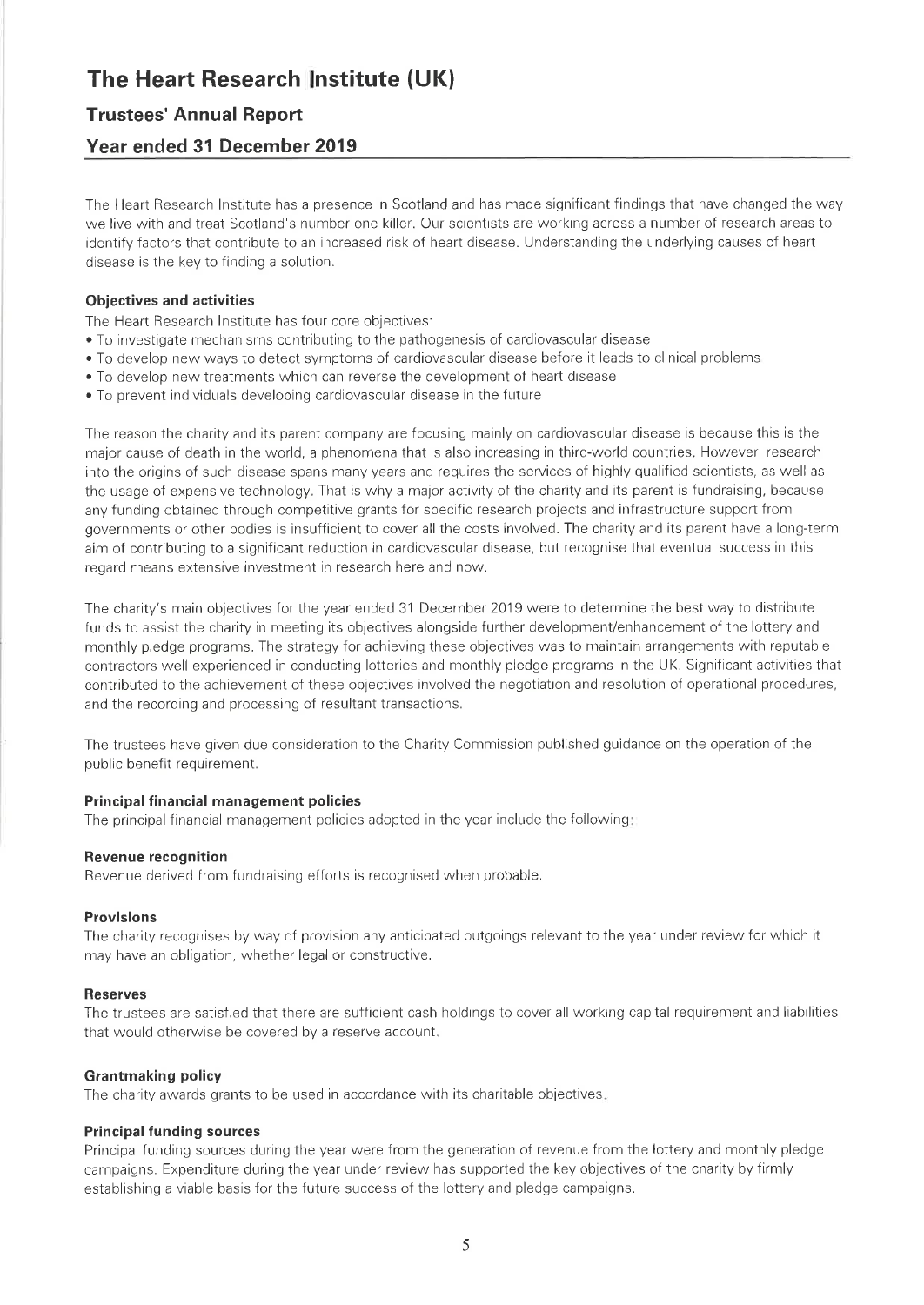# **Trustees' Annual Report**

# Year ended 31 December 2019

The Heart Research Institute has a presence in Scotland and has made significant findings that have changed the way we live with and treat Scotland's number one killer. Our scientists are working across a number of research areas to identify factors that contribute to an increased risk of heart disease. Understanding the underlying causes of heart disease is the key to finding a solution.

### **Objectives and activities**

- The Heart Research Institute has four core objectives:
- To investigate mechanisms contributing to the pathogenesis of cardiovascular disease
- To develop new ways to detect symptoms of cardiovascular disease before it leads to clinical problems
- . To develop new treatments which can reverse the development of heart disease
- To prevent individuals developing cardiovascular disease in the future

The reason the charity and its parent company are focusing mainly on cardiovascular disease is because this is the major cause of death in the world, a phenomena that is also increasing in third-world countries. However, research into the origins of such disease spans many years and requires the services of highly qualified scientists, as well as the usage of expensive technology. That is why a major activity of the charity and its parent is fundraising, because any funding obtained through competitive grants for specific research projects and infrastructure support from governments or other bodies is insufficient to cover all the costs involved. The charity and its parent have a long-term aim of contributing to a significant reduction in cardiovascular disease, but recognise that eventual success in this regard means extensive investment in research here and now.

The charity's main objectives for the year ended 31 December 2019 were to determine the best way to distribute funds to assist the charity in meeting its objectives alongside further development/enhancement of the lottery and monthly pledge programs. The strategy for achieving these objectives was to maintain arrangements with reputable contractors well experienced in conducting lotteries and monthly pledge programs in the UK. Significant activities that contributed to the achievement of these objectives involved the negotiation and resolution of operational procedures, and the recording and processing of resultant transactions.

The trustees have given due consideration to the Charity Commission published guidance on the operation of the public benefit requirement.

### **Principal financial management policies**

The principal financial management policies adopted in the year include the following:

### **Revenue recognition**

Revenue derived from fundraising efforts is recognised when probable.

### **Provisions**

The charity recognises by way of provision any anticipated outgoings relevant to the year under review for which it may have an obligation, whether legal or constructive.

### **Reserves**

The trustees are satisfied that there are sufficient cash holdings to cover all working capital requirement and liabilities that would otherwise be covered by a reserve account.

### **Grantmaking policy**

The charity awards grants to be used in accordance with its charitable objectives.

### **Principal funding sources**

Principal funding sources during the year were from the generation of revenue from the lottery and monthly pledge campaigns. Expenditure during the year under review has supported the key objectives of the charity by firmly establishing a viable basis for the future success of the lottery and pledge campaigns.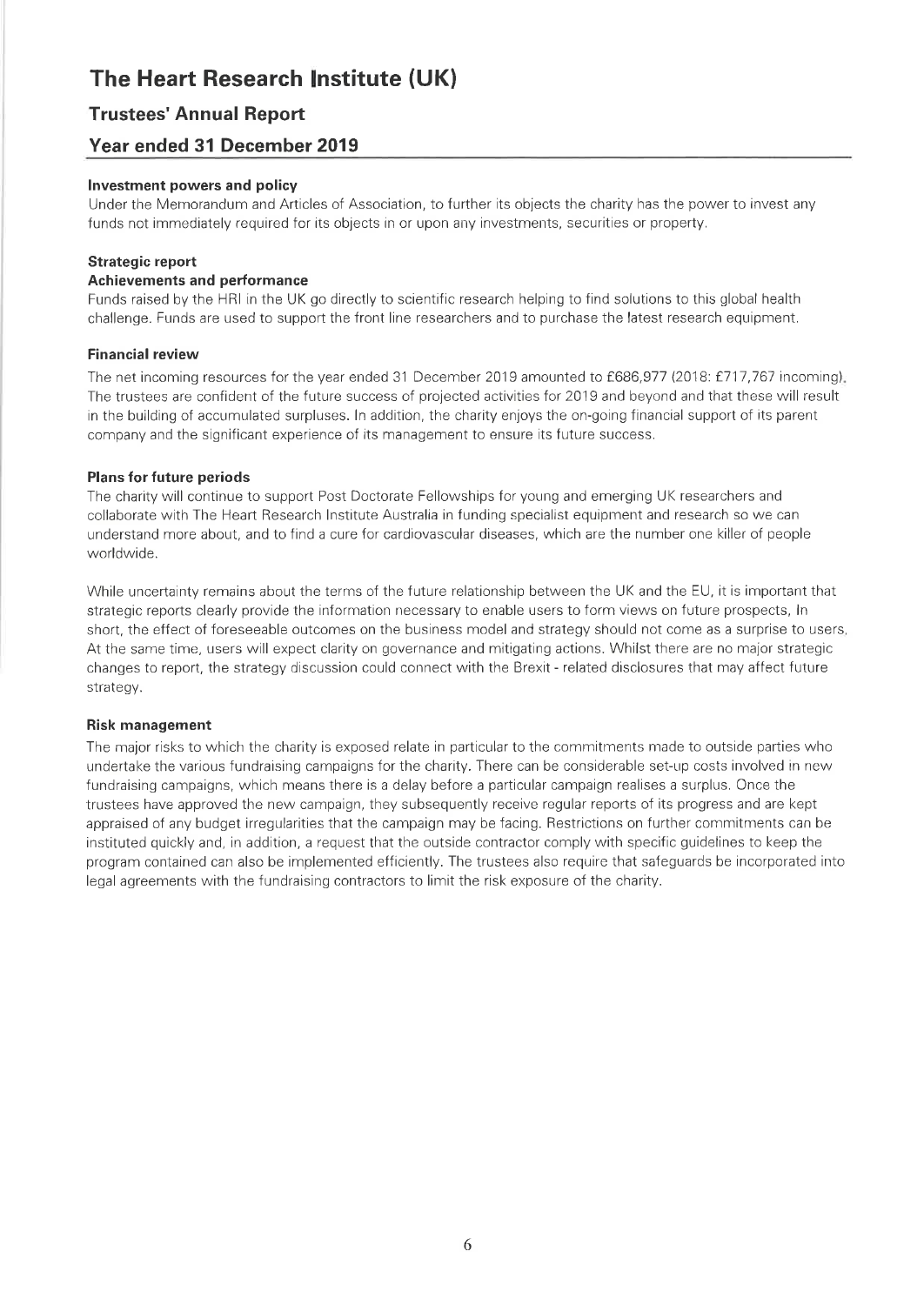# **Trustees' Annual Report**

## Year ended 31 December 2019

### Investment powers and policy

Under the Memorandum and Articles of Association, to further its objects the charity has the power to invest any funds not immediately required for its objects in or upon any investments, securities or property.

### **Strategic report**

### **Achievements and performance**

Funds raised by the HRI in the UK go directly to scientific research helping to find solutions to this global health challenge. Funds are used to support the front line researchers and to purchase the latest research equipment.

### **Financial review**

The net incoming resources for the year ended 31 December 2019 amounted to £686,977 (2018: £717,767 incoming). The trustees are confident of the future success of projected activities for 2019 and beyond and that these will result in the building of accumulated surpluses. In addition, the charity enjoys the on-going financial support of its parent company and the significant experience of its management to ensure its future success.

### **Plans for future periods**

The charity will continue to support Post Doctorate Fellowships for young and emerging UK researchers and collaborate with The Heart Research Institute Australia in funding specialist equipment and research so we can understand more about, and to find a cure for cardiovascular diseases, which are the number one killer of people worldwide.

While uncertainty remains about the terms of the future relationship between the UK and the EU, it is important that strategic reports clearly provide the information necessary to enable users to form views on future prospects, In short, the effect of foreseeable outcomes on the business model and strategy should not come as a surprise to users, At the same time, users will expect clarity on governance and mitigating actions. Whilst there are no major strategic changes to report, the strategy discussion could connect with the Brexit - related disclosures that may affect future strategy.

### **Risk management**

The major risks to which the charity is exposed relate in particular to the commitments made to outside parties who undertake the various fundraising campaigns for the charity. There can be considerable set-up costs involved in new fundraising campaigns, which means there is a delay before a particular campaign realises a surplus. Once the trustees have approved the new campaign, they subsequently receive regular reports of its progress and are kept appraised of any budget irregularities that the campaign may be facing. Restrictions on further commitments can be instituted quickly and, in addition, a request that the outside contractor comply with specific guidelines to keep the program contained can also be implemented efficiently. The trustees also require that safeguards be incorporated into legal agreements with the fundraising contractors to limit the risk exposure of the charity.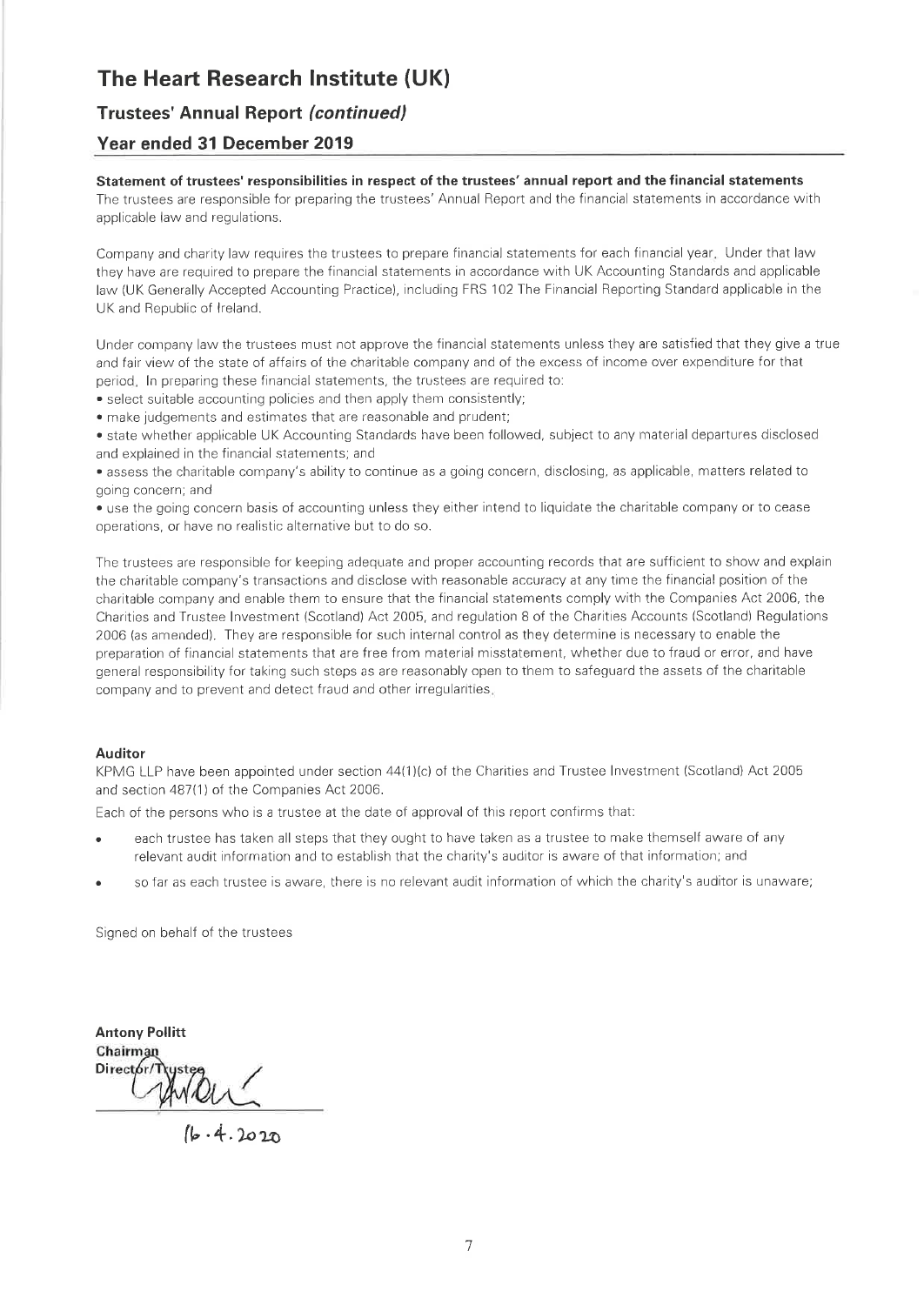### **Trustees' Annual Report (continued)**

### Year ended 31 December 2019

### Statement of trustees' responsibilities in respect of the trustees' annual report and the financial statements

The trustees are responsible for preparing the trustees' Annual Report and the financial statements in accordance with applicable law and regulations.

Company and charity law requires the trustees to prepare financial statements for each financial year. Under that law they have are required to prepare the financial statements in accordance with UK Accounting Standards and applicable law (UK Generally Accepted Accounting Practice), including FRS 102 The Financial Reporting Standard applicable in the UK and Republic of Ireland.

Under company law the trustees must not approve the financial statements unless they are satisfied that they give a true and fair view of the state of affairs of the charitable company and of the excess of income over expenditure for that period. In preparing these financial statements, the trustees are required to:

• select suitable accounting policies and then apply them consistently;

· make judgements and estimates that are reasonable and prudent;

• state whether applicable UK Accounting Standards have been followed, subject to any material departures disclosed and explained in the financial statements; and

• assess the charitable company's ability to continue as a going concern, disclosing, as applicable, matters related to going concern; and

• use the going concern basis of accounting unless they either intend to liquidate the charitable company or to cease operations, or have no realistic alternative but to do so.

The trustees are responsible for keeping adequate and proper accounting records that are sufficient to show and explain the charitable company's transactions and disclose with reasonable accuracy at any time the financial position of the charitable company and enable them to ensure that the financial statements comply with the Companies Act 2006, the Charities and Trustee Investment (Scotland) Act 2005, and regulation 8 of the Charities Accounts (Scotland) Regulations 2006 (as amended). They are responsible for such internal control as they determine is necessary to enable the preparation of financial statements that are free from material misstatement, whether due to fraud or error, and have general responsibility for taking such steps as are reasonably open to them to safeguard the assets of the charitable company and to prevent and detect fraud and other irregularities.

### **Auditor**

KPMG LLP have been appointed under section 44(1)(c) of the Charities and Trustee Investment (Scotland) Act 2005 and section 487(1) of the Companies Act 2006.

Each of the persons who is a trustee at the date of approval of this report confirms that:

- each trustee has taken all steps that they ought to have taken as a trustee to make themself aware of any relevant audit information and to establish that the charity's auditor is aware of that information; and
- so far as each trustee is aware, there is no relevant audit information of which the charity's auditor is unaware;

Signed on behalf of the trustees

**Antony Pollitt** Chairman Director/1  $WQU$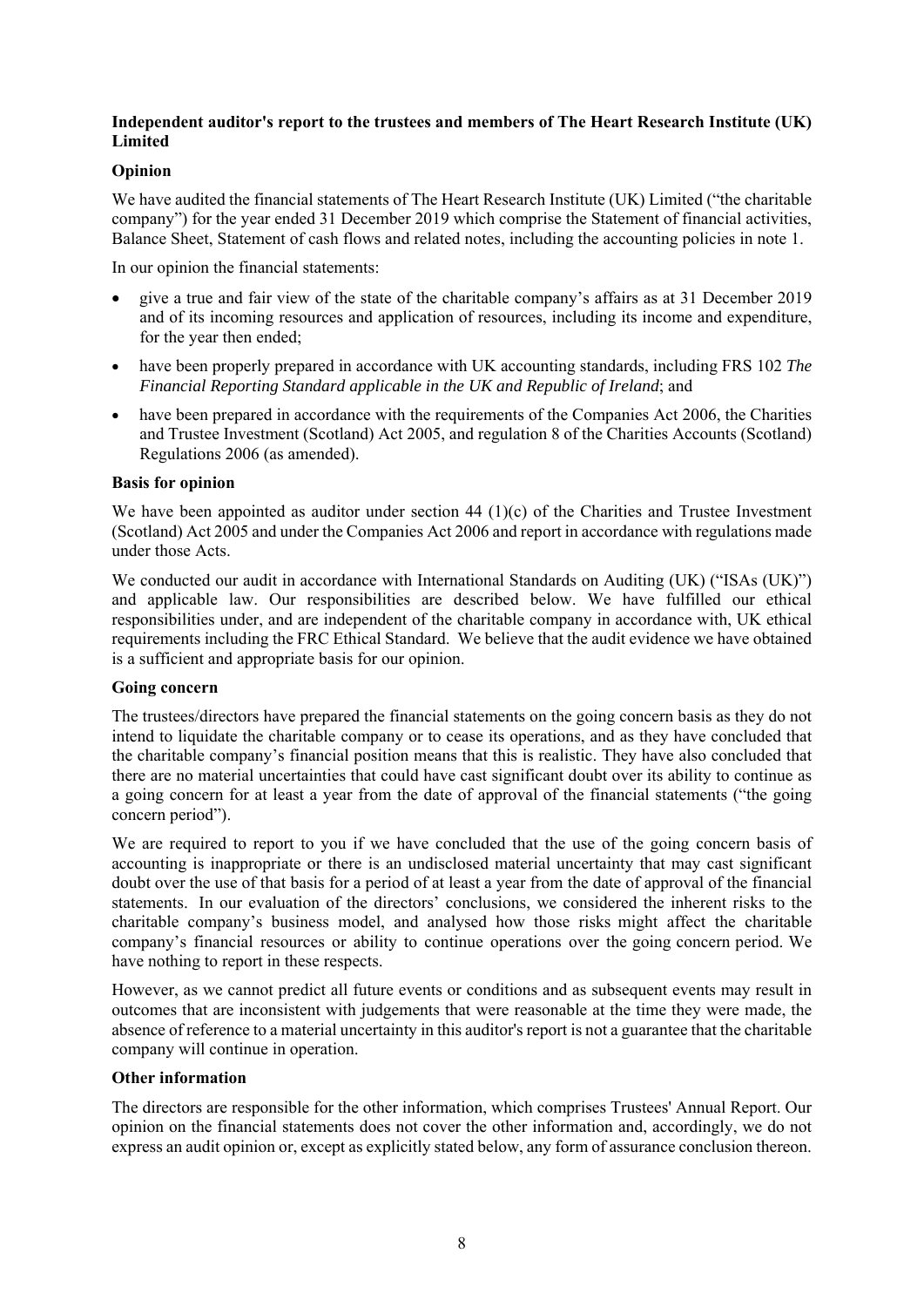### **Independent auditor's report to the trustees and members of The Heart Research Institute (UK) Limited**

### **Opinion**

We have audited the financial statements of The Heart Research Institute (UK) Limited ("the charitable company") for the year ended 31 December 2019 which comprise the Statement of financial activities, Balance Sheet, Statement of cash flows and related notes, including the accounting policies in note 1.

In our opinion the financial statements:

- give a true and fair view of the state of the charitable company's affairs as at 31 December 2019 and of its incoming resources and application of resources, including its income and expenditure, for the year then ended;
- have been properly prepared in accordance with UK accounting standards, including FRS 102 *The Financial Reporting Standard applicable in the UK and Republic of Ireland*; and
- have been prepared in accordance with the requirements of the Companies Act 2006, the Charities and Trustee Investment (Scotland) Act 2005, and regulation 8 of the Charities Accounts (Scotland) Regulations 2006 (as amended).

### **Basis for opinion**

We have been appointed as auditor under section 44 (1)(c) of the Charities and Trustee Investment (Scotland) Act 2005 and under the Companies Act 2006 and report in accordance with regulations made under those Acts.

We conducted our audit in accordance with International Standards on Auditing (UK) ("ISAs (UK)") and applicable law. Our responsibilities are described below. We have fulfilled our ethical responsibilities under, and are independent of the charitable company in accordance with, UK ethical requirements including the FRC Ethical Standard. We believe that the audit evidence we have obtained is a sufficient and appropriate basis for our opinion.

### **Going concern**

The trustees/directors have prepared the financial statements on the going concern basis as they do not intend to liquidate the charitable company or to cease its operations, and as they have concluded that the charitable company's financial position means that this is realistic. They have also concluded that there are no material uncertainties that could have cast significant doubt over its ability to continue as a going concern for at least a year from the date of approval of the financial statements ("the going concern period").

We are required to report to you if we have concluded that the use of the going concern basis of accounting is inappropriate or there is an undisclosed material uncertainty that may cast significant doubt over the use of that basis for a period of at least a year from the date of approval of the financial statements. In our evaluation of the directors' conclusions, we considered the inherent risks to the charitable company's business model, and analysed how those risks might affect the charitable company's financial resources or ability to continue operations over the going concern period. We have nothing to report in these respects.

However, as we cannot predict all future events or conditions and as subsequent events may result in outcomes that are inconsistent with judgements that were reasonable at the time they were made, the absence of reference to a material uncertainty in this auditor's report is not a guarantee that the charitable company will continue in operation.

### **Other information**

The directors are responsible for the other information, which comprises Trustees' Annual Report. Our opinion on the financial statements does not cover the other information and, accordingly, we do not express an audit opinion or, except as explicitly stated below, any form of assurance conclusion thereon.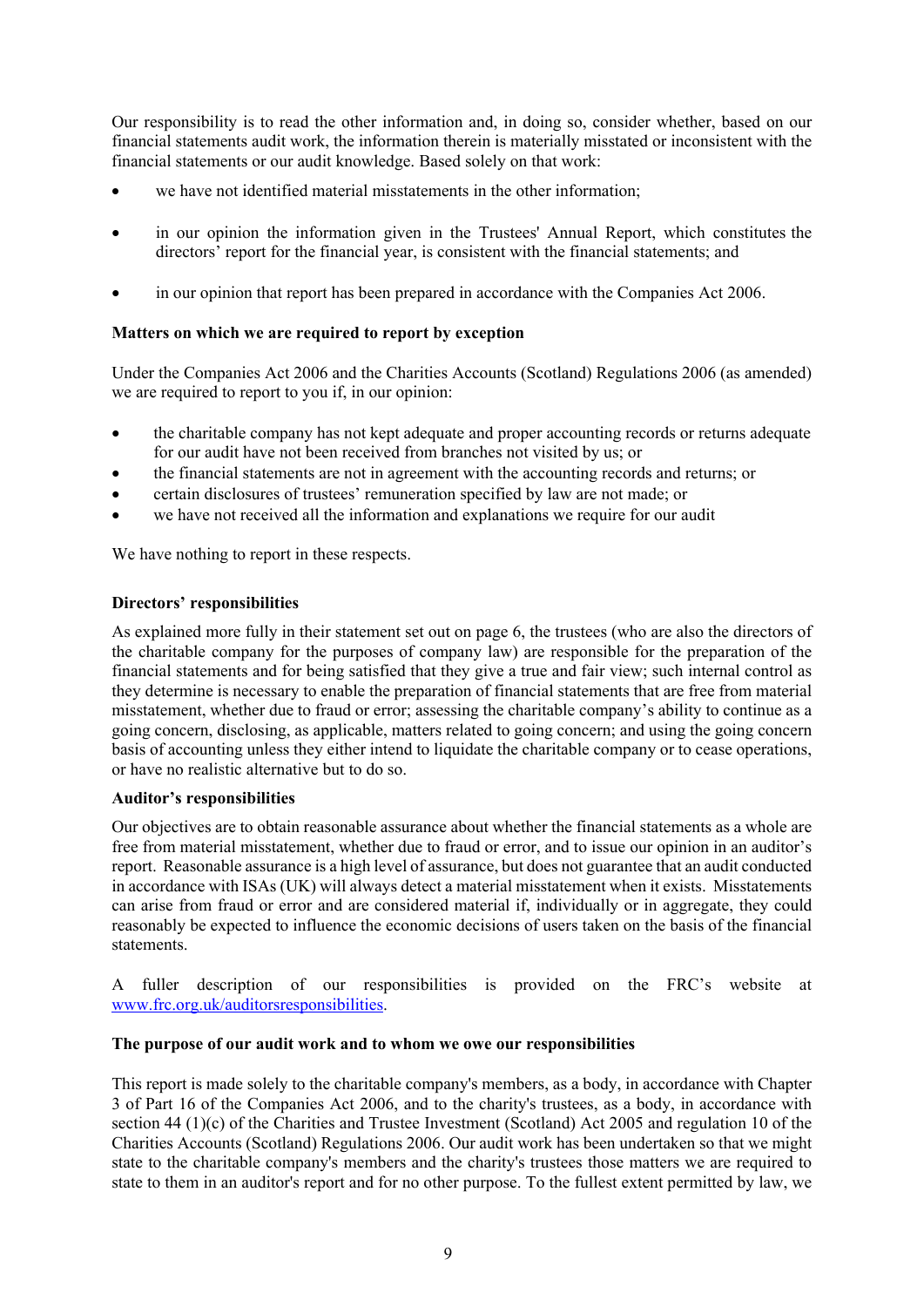Our responsibility is to read the other information and, in doing so, consider whether, based on our financial statements audit work, the information therein is materially misstated or inconsistent with the financial statements or our audit knowledge. Based solely on that work:

- we have not identified material misstatements in the other information;
- in our opinion the information given in the Trustees' Annual Report, which constitutes the directors' report for the financial year, is consistent with the financial statements; and
- in our opinion that report has been prepared in accordance with the Companies Act 2006.

### **Matters on which we are required to report by exception**

Under the Companies Act 2006 and the Charities Accounts (Scotland) Regulations 2006 (as amended) we are required to report to you if, in our opinion:

- the charitable company has not kept adequate and proper accounting records or returns adequate for our audit have not been received from branches not visited by us; or
- the financial statements are not in agreement with the accounting records and returns; or
- certain disclosures of trustees' remuneration specified by law are not made; or
- we have not received all the information and explanations we require for our audit

We have nothing to report in these respects.

### **Directors' responsibilities**

As explained more fully in their statement set out on page 6, the trustees (who are also the directors of the charitable company for the purposes of company law) are responsible for the preparation of the financial statements and for being satisfied that they give a true and fair view; such internal control as they determine is necessary to enable the preparation of financial statements that are free from material misstatement, whether due to fraud or error; assessing the charitable company's ability to continue as a going concern, disclosing, as applicable, matters related to going concern; and using the going concern basis of accounting unless they either intend to liquidate the charitable company or to cease operations, or have no realistic alternative but to do so.

### **Auditor's responsibilities**

Our objectives are to obtain reasonable assurance about whether the financial statements as a whole are free from material misstatement, whether due to fraud or error, and to issue our opinion in an auditor's report. Reasonable assurance is a high level of assurance, but does not guarantee that an audit conducted in accordance with ISAs (UK) will always detect a material misstatement when it exists. Misstatements can arise from fraud or error and are considered material if, individually or in aggregate, they could reasonably be expected to influence the economic decisions of users taken on the basis of the financial statements.

A fuller description of our responsibilities is provided on the FRC's website at www.frc.org.uk/auditorsresponsibilities.

### **The purpose of our audit work and to whom we owe our responsibilities**

This report is made solely to the charitable company's members, as a body, in accordance with Chapter 3 of Part 16 of the Companies Act 2006, and to the charity's trustees, as a body, in accordance with section 44 (1)(c) of the Charities and Trustee Investment (Scotland) Act 2005 and regulation 10 of the Charities Accounts (Scotland) Regulations 2006. Our audit work has been undertaken so that we might state to the charitable company's members and the charity's trustees those matters we are required to state to them in an auditor's report and for no other purpose. To the fullest extent permitted by law, we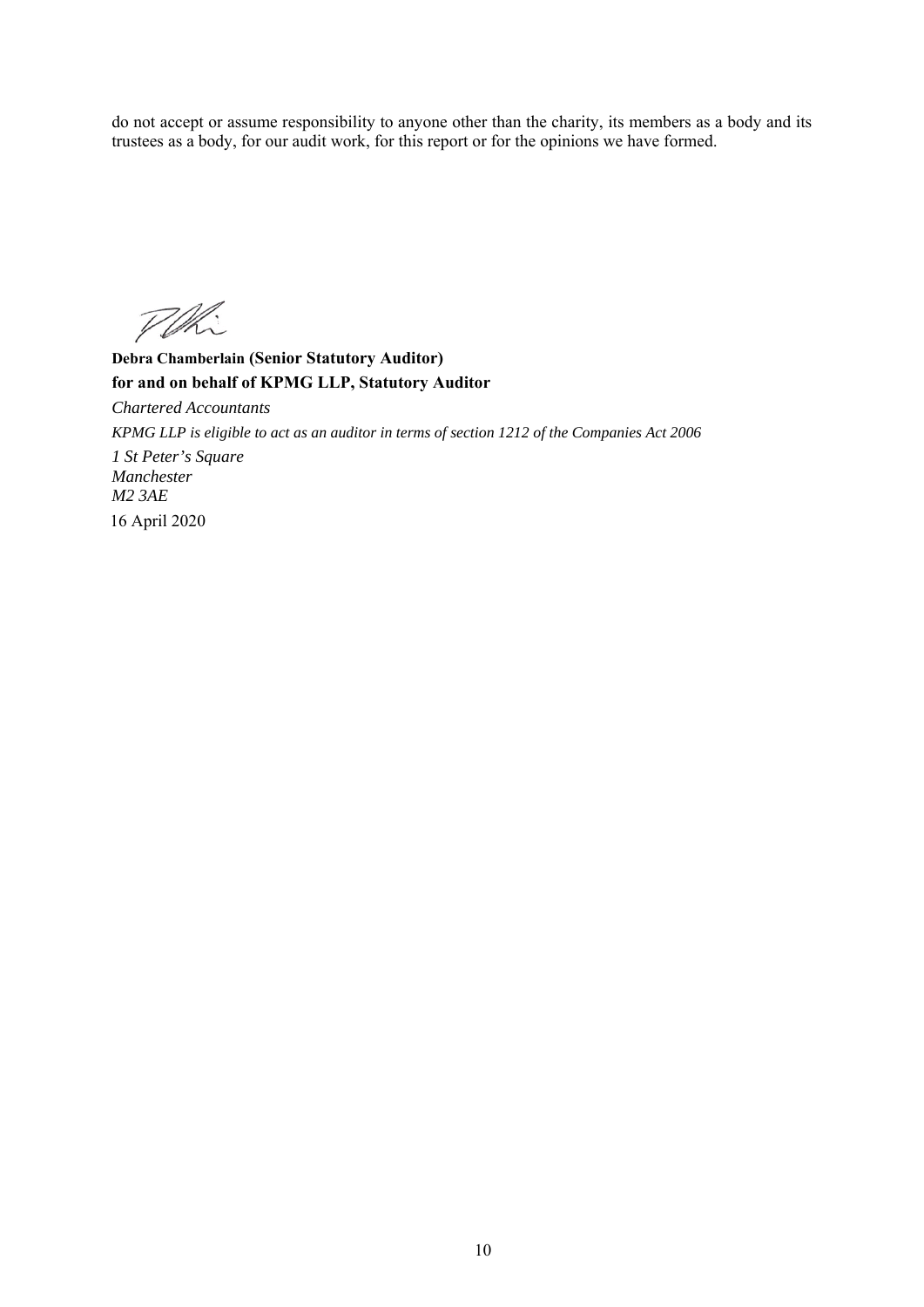do not accept or assume responsibility to anyone other than the charity, its members as a body and its trustees as a body, for our audit work, for this report or for the opinions we have formed.

POR

**Debra Chamberlain (Senior Statutory Auditor) for and on behalf of KPMG LLP, Statutory Auditor**  *Chartered Accountants KPMG LLP is eligible to act as an auditor in terms of section 1212 of the Companies Act 2006 1 St Peter's Square Manchester M2 3AE*  16 April 2020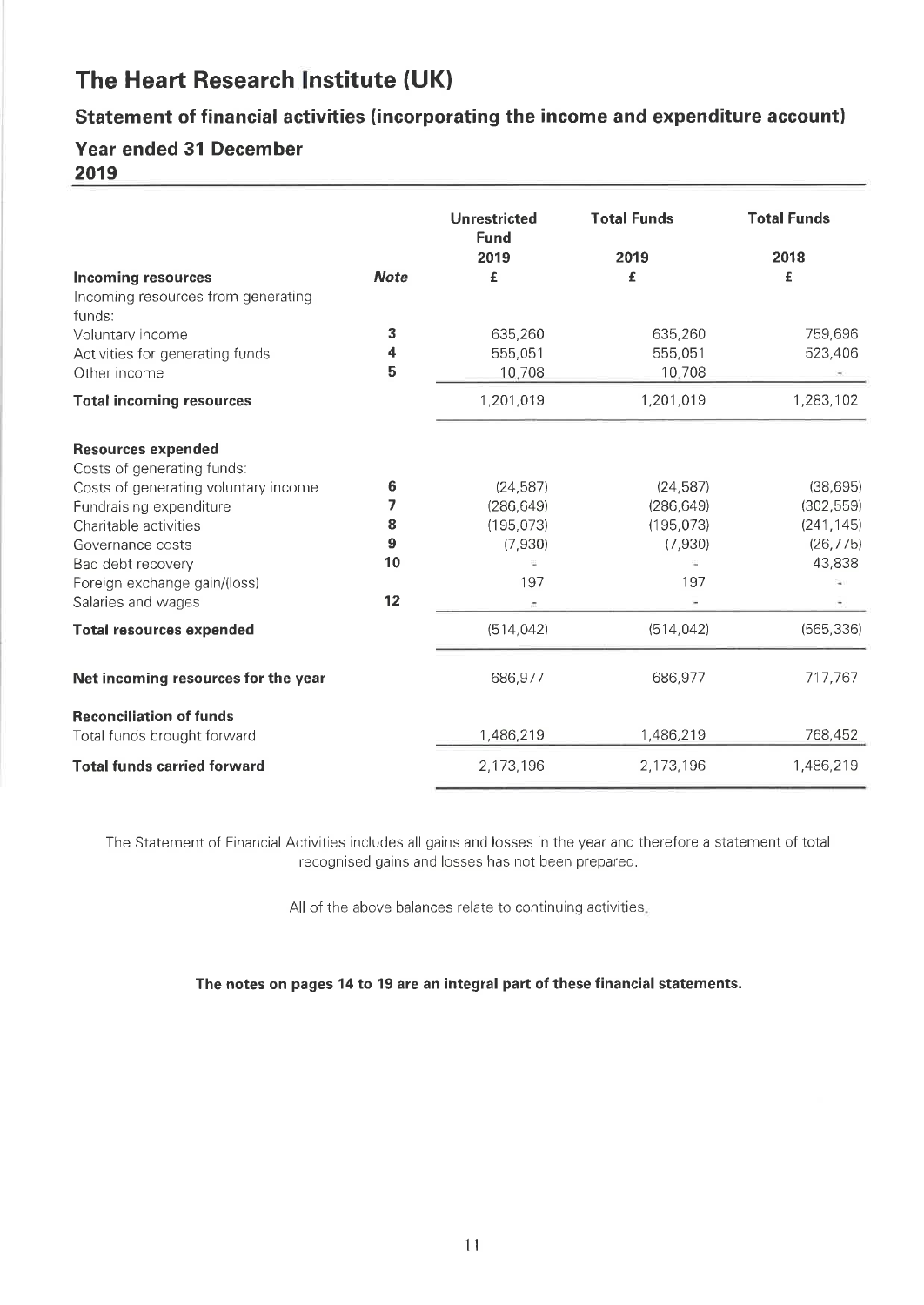# Statement of financial activities (incorporating the income and expenditure account)

# **Year ended 31 December**

2019

|                                                               |             | <b>Unrestricted</b><br><b>Fund</b><br>2019 | <b>Total Funds</b><br>2019 | <b>Total Funds</b><br>2018 |
|---------------------------------------------------------------|-------------|--------------------------------------------|----------------------------|----------------------------|
| <b>Incoming resources</b>                                     | <b>Note</b> | £                                          | £                          | £                          |
| Incoming resources from generating                            |             |                                            |                            |                            |
| funds:                                                        |             |                                            |                            |                            |
| Voluntary income                                              | 3           | 635,260                                    | 635,260                    | 759,696                    |
| Activities for generating funds                               | 4           | 555,051                                    | 555,051                    | 523,406                    |
| Other income                                                  | 5           | 10,708                                     | 10,708                     |                            |
| <b>Total incoming resources</b>                               |             | 1,201,019                                  | 1,201,019                  | 1,283,102                  |
| <b>Resources expended</b><br>Costs of generating funds:       |             |                                            |                            |                            |
| Costs of generating voluntary income                          | 6           | (24, 587)                                  | (24, 587)                  | (38, 695)                  |
| Fundraising expenditure                                       | 7           | (286, 649)                                 | (286, 649)                 | (302, 559)                 |
| Charitable activities                                         | 8           | (195, 073)                                 | (195, 073)                 | (241, 145)                 |
| Governance costs                                              | 9           | (7,930)                                    | (7,930)                    | (26, 775)                  |
| Bad debt recovery                                             | 10          |                                            |                            | 43,838                     |
| Foreign exchange gain/(loss)                                  |             | 197                                        | 197                        |                            |
| Salaries and wages                                            | 12          |                                            |                            |                            |
| <b>Total resources expended</b>                               |             | (514, 042)                                 | (514, 042)                 | (565, 336)                 |
| Net incoming resources for the year                           |             | 686,977                                    | 686,977                    | 717,767                    |
| <b>Reconciliation of funds</b><br>Total funds brought forward |             | 1,486,219                                  | 1,486,219                  | 768,452                    |
| <b>Total funds carried forward</b>                            |             | 2,173,196                                  | 2,173,196                  | 1,486,219                  |

The Statement of Financial Activities includes all gains and losses in the year and therefore a statement of total recognised gains and losses has not been prepared.

All of the above balances relate to continuing activities.

The notes on pages 14 to 19 are an integral part of these financial statements.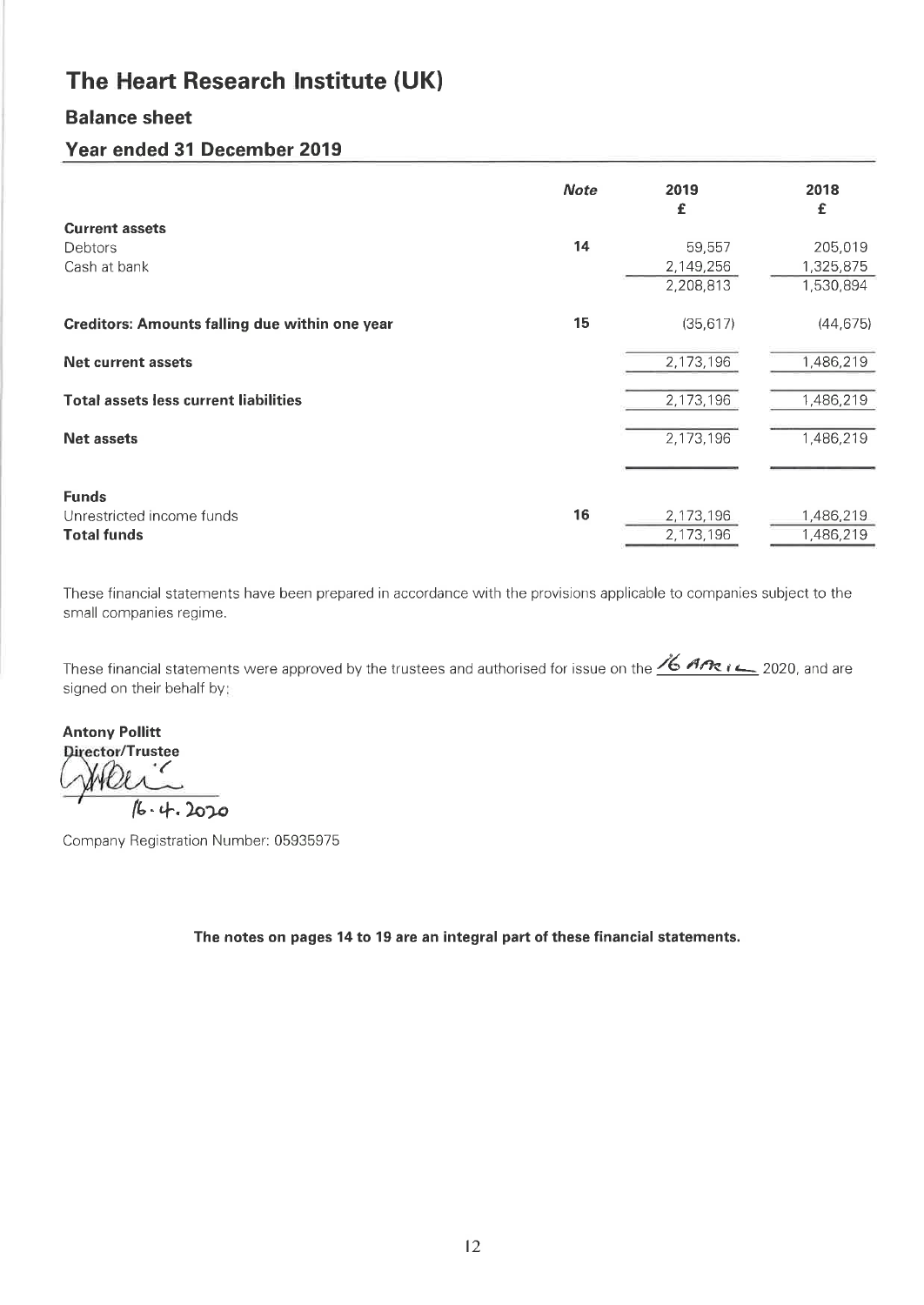# **Balance sheet**

# Year ended 31 December 2019

|                                                       | <b>Note</b> | 2019<br>£ | 2018<br>£ |
|-------------------------------------------------------|-------------|-----------|-----------|
| <b>Current assets</b>                                 |             |           |           |
| Debtors                                               | 14          | 59,557    | 205,019   |
| Cash at bank                                          |             | 2,149,256 | 1,325,875 |
|                                                       |             | 2,208,813 | 1,530,894 |
| <b>Creditors: Amounts falling due within one year</b> | 15          | (35, 617) | (44, 675) |
| <b>Net current assets</b>                             |             | 2,173,196 | 1,486,219 |
| <b>Total assets less current liabilities</b>          |             | 2,173,196 | 1,486,219 |
| <b>Net assets</b>                                     |             | 2,173,196 | 1,486,219 |
| <b>Funds</b>                                          |             |           |           |
| Unrestricted income funds                             | 16          | 2,173,196 | 1,486,219 |
| <b>Total funds</b>                                    |             | 2,173,196 | 1,486,219 |
|                                                       |             |           |           |

These financial statements have been prepared in accordance with the provisions applicable to companies subject to the small companies regime.

These financial statements were approved by the trustees and authorised for issue on the  $\frac{\text{\%} \text{Area}}{2020}$ , and are signed on their behalf by:

**Antony Pollitt** Director/Trustee  $\checkmark$  $16.4.2020$ 

Company Registration Number: 05935975

The notes on pages 14 to 19 are an integral part of these financial statements.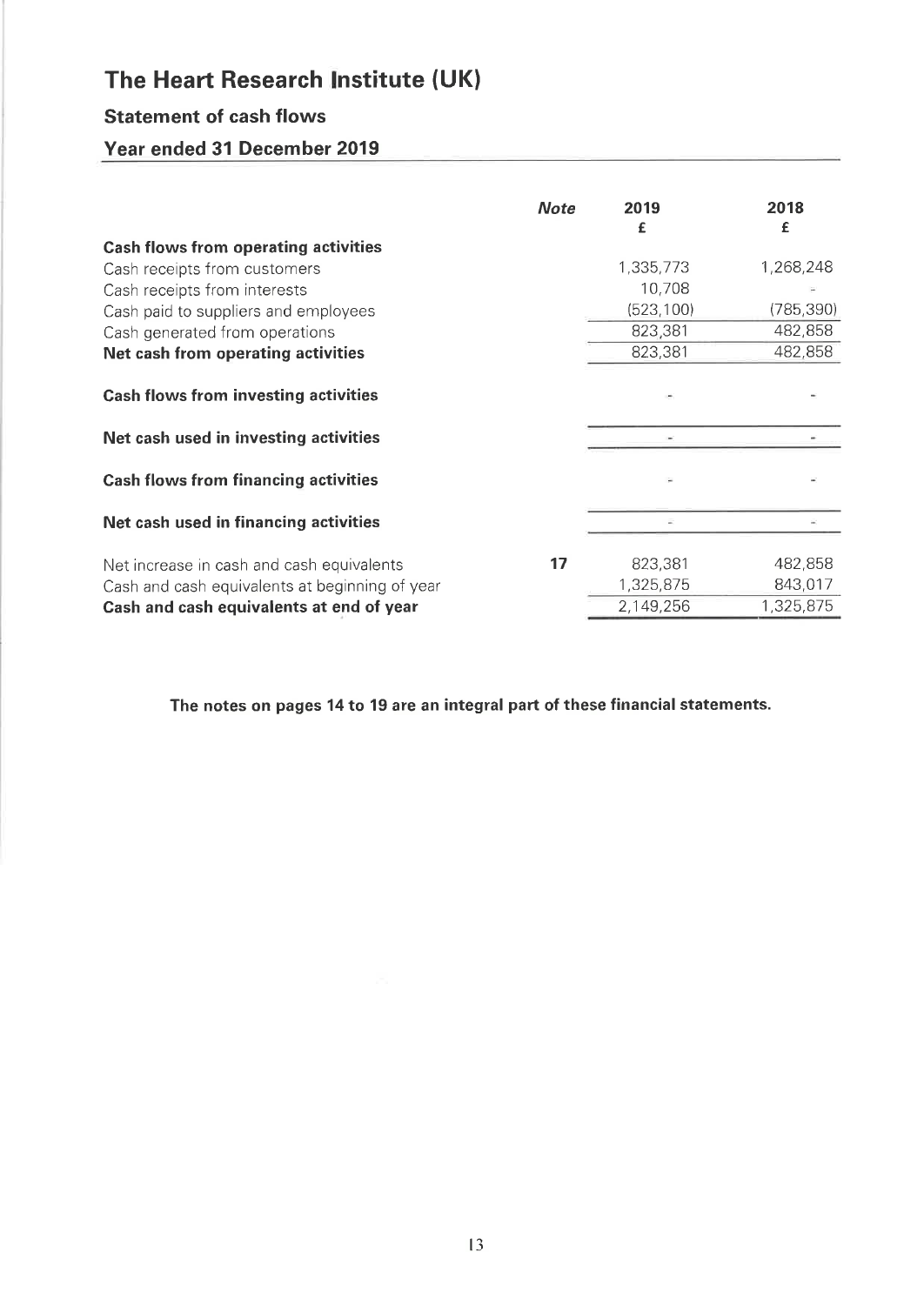# **Statement of cash flows**

# Year ended 31 December 2019

| <b>Note</b> | 2019<br>£  | 2018<br>£  |
|-------------|------------|------------|
|             |            |            |
|             | 1,335,773  | 1,268,248  |
|             | 10,708     |            |
|             | (523, 100) | (785, 390) |
|             | 823,381    | 482,858    |
|             | 823,381    | 482,858    |
|             |            |            |
|             |            |            |
|             |            |            |
|             |            |            |
| 17          | 823,381    | 482,858    |
|             | 1,325,875  | 843,017    |
|             | 2,149,256  | 1,325,875  |
|             |            |            |

The notes on pages 14 to 19 are an integral part of these financial statements.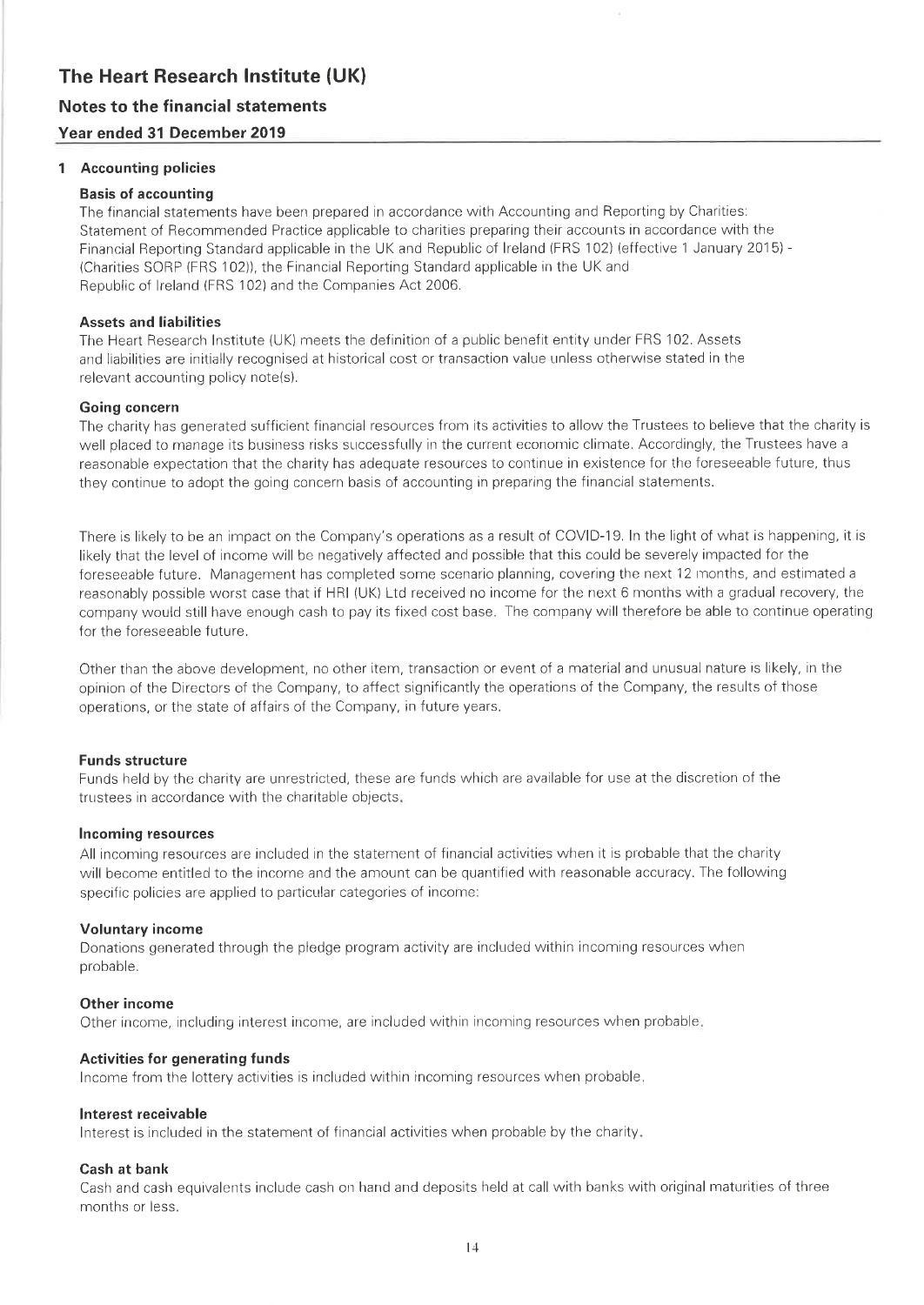### Notes to the financial statements Year ended 31 December 2019

### 1 Accounting policies

### **Basis of accounting**

The financial statements have been prepared in accordance with Accounting and Reporting by Charities: Statement of Recommended Practice applicable to charities preparing their accounts in accordance with the Financial Reporting Standard applicable in the UK and Republic of Ireland (FRS 102) (effective 1 January 2015) -(Charities SORP (FRS 102)), the Financial Reporting Standard applicable in the UK and Republic of Ireland (FRS 102) and the Companies Act 2006.

### **Assets and liabilities**

The Heart Research Institute (UK) meets the definition of a public benefit entity under FRS 102. Assets and liabilities are initially recognised at historical cost or transaction value unless otherwise stated in the relevant accounting policy note(s).

### **Going concern**

The charity has generated sufficient financial resources from its activities to allow the Trustees to believe that the charity is well placed to manage its business risks successfully in the current economic climate. Accordingly, the Trustees have a reasonable expectation that the charity has adequate resources to continue in existence for the foreseeable future, thus they continue to adopt the going concern basis of accounting in preparing the financial statements.

There is likely to be an impact on the Company's operations as a result of COVID-19. In the light of what is happening, it is likely that the level of income will be negatively affected and possible that this could be severely impacted for the foreseeable future. Management has completed some scenario planning, covering the next 12 months, and estimated a reasonably possible worst case that if HRI (UK) Ltd received no income for the next 6 months with a gradual recovery, the company would still have enough cash to pay its fixed cost base. The company will therefore be able to continue operating for the foreseeable future.

Other than the above development, no other item, transaction or event of a material and unusual nature is likely, in the opinion of the Directors of the Company, to affect significantly the operations of the Company, the results of those operations, or the state of affairs of the Company, in future years.

### **Funds structure**

Funds held by the charity are unrestricted, these are funds which are available for use at the discretion of the trustees in accordance with the charitable objects.

### **Incoming resources**

All incoming resources are included in the statement of financial activities when it is probable that the charity will become entitled to the income and the amount can be quantified with reasonable accuracy. The following specific policies are applied to particular categories of income:

### **Voluntary income**

Donations generated through the pledge program activity are included within incoming resources when probable.

### Other income

Other income, including interest income, are included within incoming resources when probable.

### **Activities for generating funds**

Income from the lottery activities is included within incoming resources when probable.

### Interest receivable

Interest is included in the statement of financial activities when probable by the charity.

### Cash at bank

Cash and cash equivalents include cash on hand and deposits held at call with banks with original maturities of three months or less.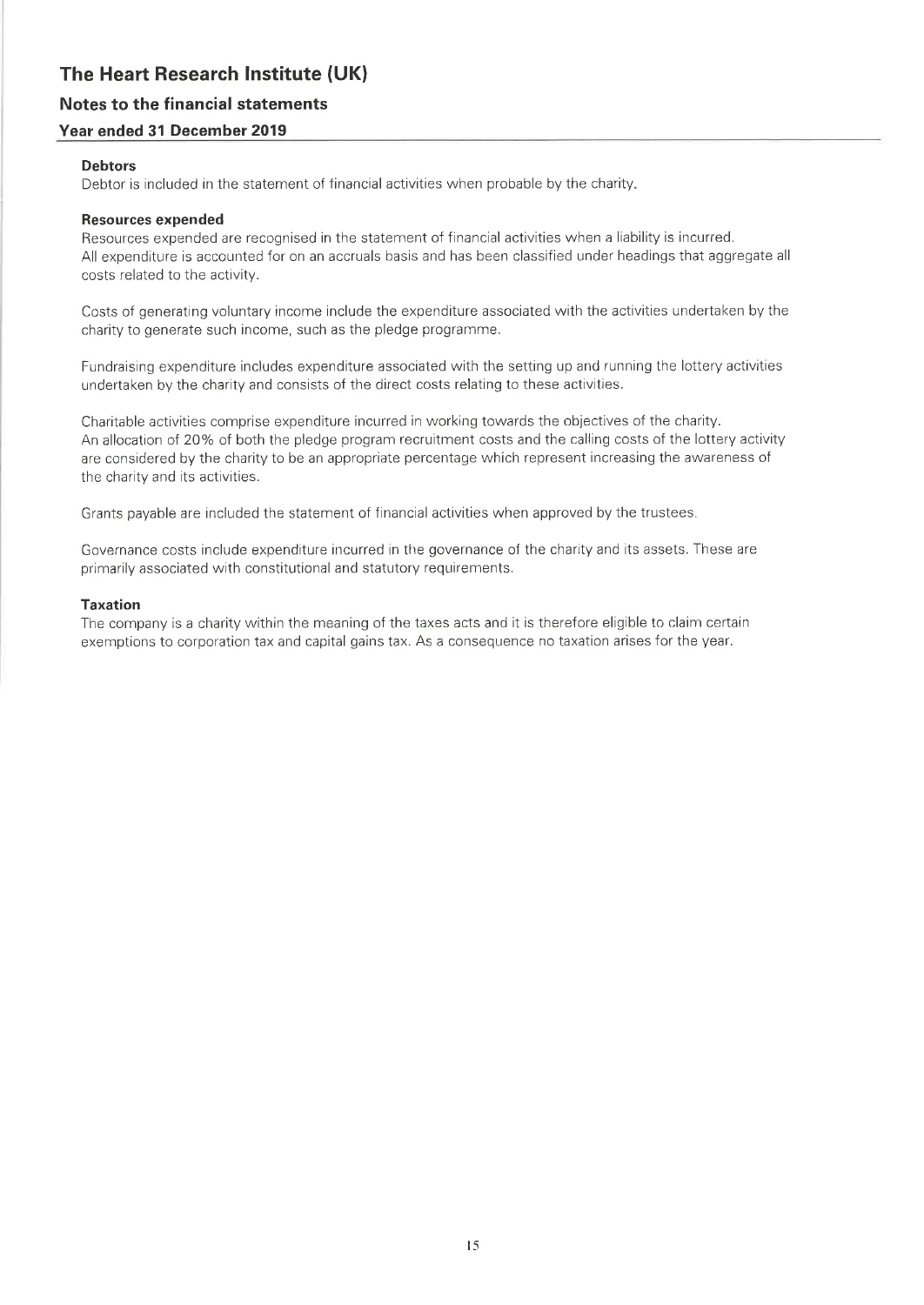### Notes to the financial statements

### Year ended 31 December 2019

### **Debtors**

Debtor is included in the statement of financial activities when probable by the charity.

#### **Resources expended**

Resources expended are recognised in the statement of financial activities when a liability is incurred. All expenditure is accounted for on an accruals basis and has been classified under headings that aggregate all costs related to the activity.

Costs of generating voluntary income include the expenditure associated with the activities undertaken by the charity to generate such income, such as the pledge programme.

Fundraising expenditure includes expenditure associated with the setting up and running the lottery activities undertaken by the charity and consists of the direct costs relating to these activities.

Charitable activities comprise expenditure incurred in working towards the objectives of the charity. An allocation of 20% of both the pledge program recruitment costs and the calling costs of the lottery activity are considered by the charity to be an appropriate percentage which represent increasing the awareness of the charity and its activities.

Grants payable are included the statement of financial activities when approved by the trustees.

Governance costs include expenditure incurred in the governance of the charity and its assets. These are primarily associated with constitutional and statutory requirements.

### **Taxation**

The company is a charity within the meaning of the taxes acts and it is therefore eligible to claim certain exemptions to corporation tax and capital gains tax. As a consequence no taxation arises for the year.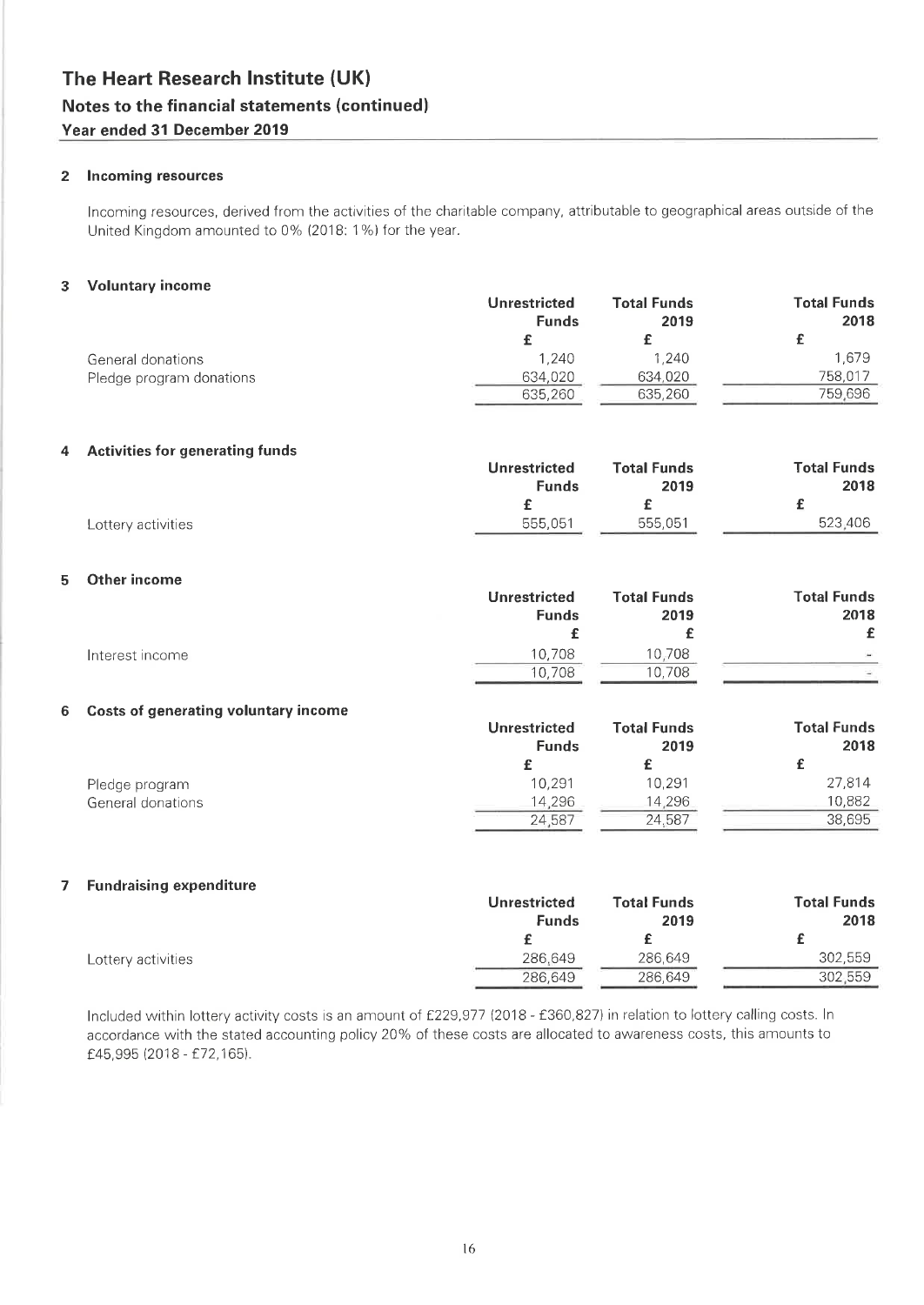#### 2 Incoming resources

Incoming resources, derived from the activities of the charitable company, attributable to geographical areas outside of the United Kingdom amounted to 0% (2018: 1%) for the year.

#### 3 Voluntary income

|   |                                             | <b>Unrestricted</b><br><b>Funds</b> | <b>Total Funds</b><br>2019 | <b>Total Funds</b><br>2018 |
|---|---------------------------------------------|-------------------------------------|----------------------------|----------------------------|
|   |                                             | £                                   | £                          | £                          |
|   | General donations                           | 1,240                               | 1,240                      | 1,679                      |
|   | Pledge program donations                    | 634,020                             | 634,020                    | 758,017                    |
|   |                                             | 635,260                             | 635,260                    | 759,696                    |
| 4 | <b>Activities for generating funds</b>      |                                     |                            |                            |
|   |                                             | <b>Unrestricted</b>                 | <b>Total Funds</b>         | <b>Total Funds</b>         |
|   |                                             | <b>Funds</b>                        | 2019                       | 2018                       |
|   |                                             | £                                   | £                          | £                          |
|   | Lottery activities                          | 555,051                             | 555,051                    | 523,406                    |
| 5 | Other income                                |                                     |                            |                            |
|   |                                             | <b>Unrestricted</b>                 | <b>Total Funds</b>         | <b>Total Funds</b>         |
|   |                                             | <b>Funds</b>                        | 2019                       | 2018                       |
|   |                                             | £                                   | £                          | £                          |
|   | Interest income                             | 10,708                              | 10,708                     |                            |
|   |                                             | 10,708                              | 10,708                     |                            |
| 6 | <b>Costs of generating voluntary income</b> |                                     |                            |                            |
|   |                                             | <b>Unrestricted</b>                 | <b>Total Funds</b>         | <b>Total Funds</b>         |
|   |                                             | <b>Funds</b>                        | 2019                       | 2018                       |
|   |                                             | £                                   | £                          | £                          |
|   | Pledge program                              | 10,291                              | 10,291                     | 27,814<br>10,882           |
|   | General donations                           | 14,296<br>24,587                    | 14,296<br>24,587           | 38,695                     |
|   |                                             |                                     |                            |                            |

#### 7 Fundraising expenditure

|                    | <b>Unrestricted</b> | <b>Total Funds</b> | <b>Total Funds</b> |
|--------------------|---------------------|--------------------|--------------------|
|                    | <b>Funds</b>        | 2019               | 2018               |
|                    |                     |                    |                    |
| Lottery activities | 286.649             | 286,649            | 302.559            |
|                    | 286.649             | 286,649            | 302.559            |

Included within lottery activity costs is an amount of £229,977 (2018 - £360,827) in relation to lottery calling costs. In accordance with the stated accounting policy 20% of these costs are allocated to awareness costs, this amounts to £45,995 (2018 - £72,165).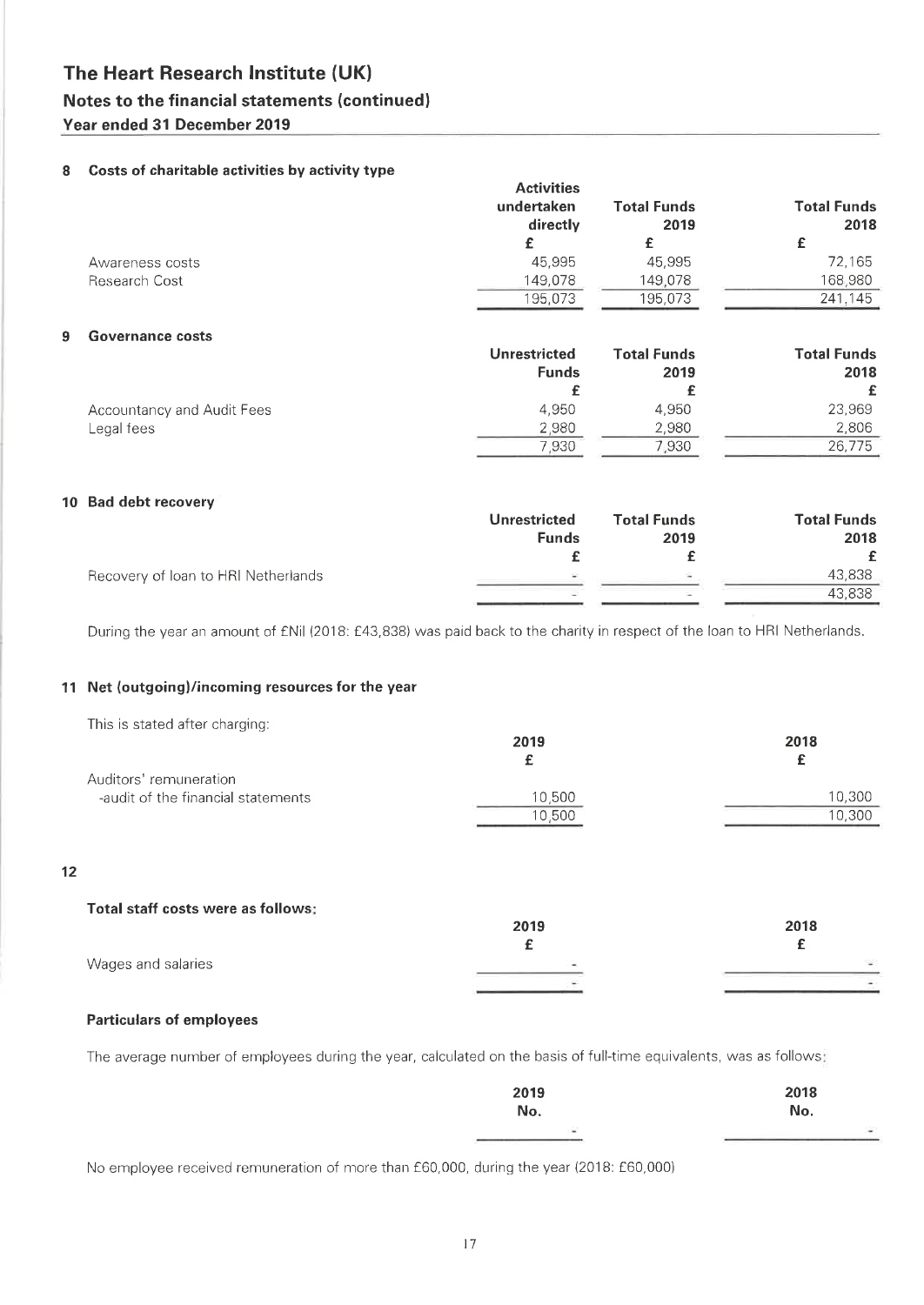### Notes to the financial statements (continued)

### Year ended 31 December 2019

### 8 Costs of charitable activities by activity type

|                 | <b>Activities</b><br>undertaken<br>directly | <b>Total Funds</b><br>2019 | <b>Total Funds</b><br>2018 |
|-----------------|---------------------------------------------|----------------------------|----------------------------|
|                 |                                             |                            |                            |
| Awareness costs | 45,995                                      | 45.995                     | 72.165                     |
| Research Cost   | 149.078                                     | 149,078                    | 168,980                    |
|                 | 195,073                                     | 195,073                    | 241,145                    |
|                 |                                             |                            |                            |

#### **Governance costs**  $9$

|                            | <b>Unrestricted</b> | <b>Total Funds</b> | <b>Total Funds</b> |
|----------------------------|---------------------|--------------------|--------------------|
|                            | <b>Funds</b>        | 2019               | 2018               |
|                            |                     |                    | £                  |
| Accountancy and Audit Fees | 4.950               | 4.950              | 23,969             |
| Legal fees                 | 2,980               | 2.980              | 2.806              |
|                            | 7.930               | 7.930              | 26.775             |

#### 10 Bad debt recovery

|                                     | Unrestricted | <b>Total Funds</b> | <b>Total Funds</b> |
|-------------------------------------|--------------|--------------------|--------------------|
|                                     | <b>Funds</b> | 2019               | 2018               |
|                                     |              |                    |                    |
| Recovery of Ioan to HRI Netherlands | P.           |                    | 43.838             |
|                                     |              |                    | 43.838             |

During the year an amount of £Nil (2018: £43,838) was paid back to the charity in respect of the loan to HRI Netherlands.

### 11 Net (outgoing)/incoming resources for the year

| This is stated after charging:     |        |        |
|------------------------------------|--------|--------|
|                                    | 2019   | 2018   |
|                                    |        | c      |
| Auditors' remuneration             |        |        |
| -audit of the financial statements | 10,500 | 10.300 |
|                                    | 10.500 | 10,300 |

### $12$

| Total staff costs were as follows: |                |      |
|------------------------------------|----------------|------|
|                                    | 2019           | 2018 |
|                                    |                |      |
| Wages and salaries                 | <b>Section</b> | S.   |
|                                    |                |      |

### **Particulars of employees**

The average number of employees during the year, calculated on the basis of full-time equivalents, was as follows:

| 2019 | 2018   |
|------|--------|
| No.  | No.    |
| i in | $\sim$ |
|      |        |

No employee received remuneration of more than £60,000, during the year (2018: £60,000)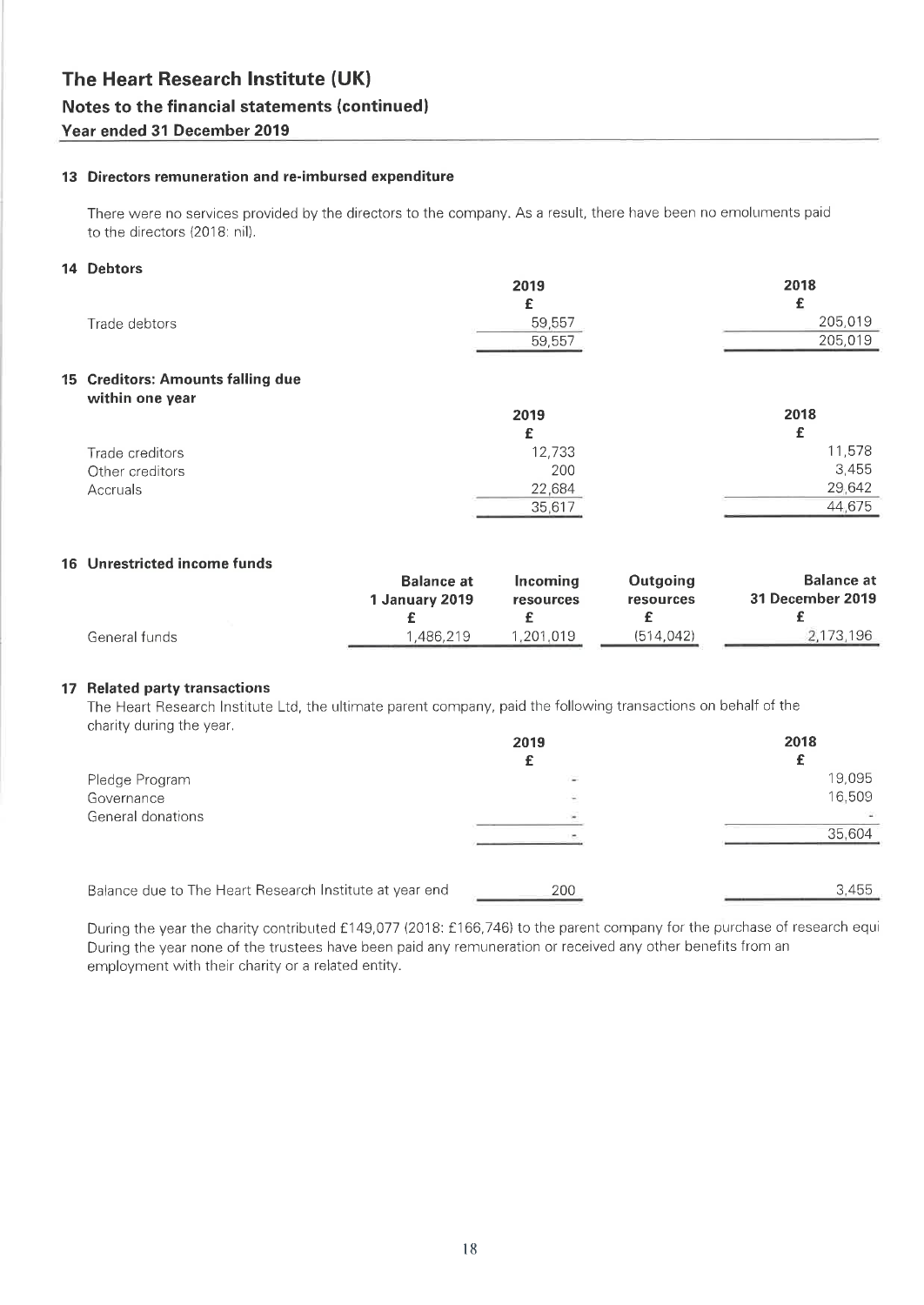### 13 Directors remuneration and re-imbursed expenditure

There were no services provided by the directors to the company. As a result, there have been no emoluments paid to the directors (2018: nil).

### 14 Debtors

|                                                      | 2019   | 2018    |
|------------------------------------------------------|--------|---------|
|                                                      | £      | £       |
| Trade debtors                                        | 59,557 | 205,019 |
|                                                      | 59,557 | 205,019 |
| 15 Creditors: Amounts falling due<br>within one year |        |         |
|                                                      | 2019   | 2018    |
|                                                      | £      | £       |
| Trade creditors                                      | 12,733 | 11,578  |
| Other creditors                                      | 200    | 3,455   |
| Accruals                                             | 22,684 | 29,642  |
|                                                      | 35,617 | 44,675  |

### 16 Unrestricted income funds

|               | <b>Balance at</b> | Incomina  | <b>Outgoing</b> | <b>Balance at</b> |
|---------------|-------------------|-----------|-----------------|-------------------|
|               | 1 January 2019    | resources | resources       | 31 December 2019  |
|               |                   |           |                 |                   |
| General funds | 1.486.219         | .201.019  | (514, 042)      | 2,173,196         |
|               |                   |           |                 |                   |

### 17 Related party transactions

The Heart Research Institute Ltd, the ultimate parent company, paid the following transactions on behalf of the charity during the year.

|                                                         | 2019 | 2018   |
|---------------------------------------------------------|------|--------|
|                                                         |      |        |
| Pledge Program                                          |      | 19,095 |
| Governance                                              |      | 16,509 |
| General donations                                       |      |        |
|                                                         |      | 35,604 |
|                                                         |      |        |
| Balance due to The Heart Research Institute at year end | 200  | 3.455  |

During the year the charity contributed £149,077 (2018: £166,746) to the parent company for the purchase of research equi During the year none of the trustees have been paid any remuneration or received any other benefits from an employment with their charity or a related entity.